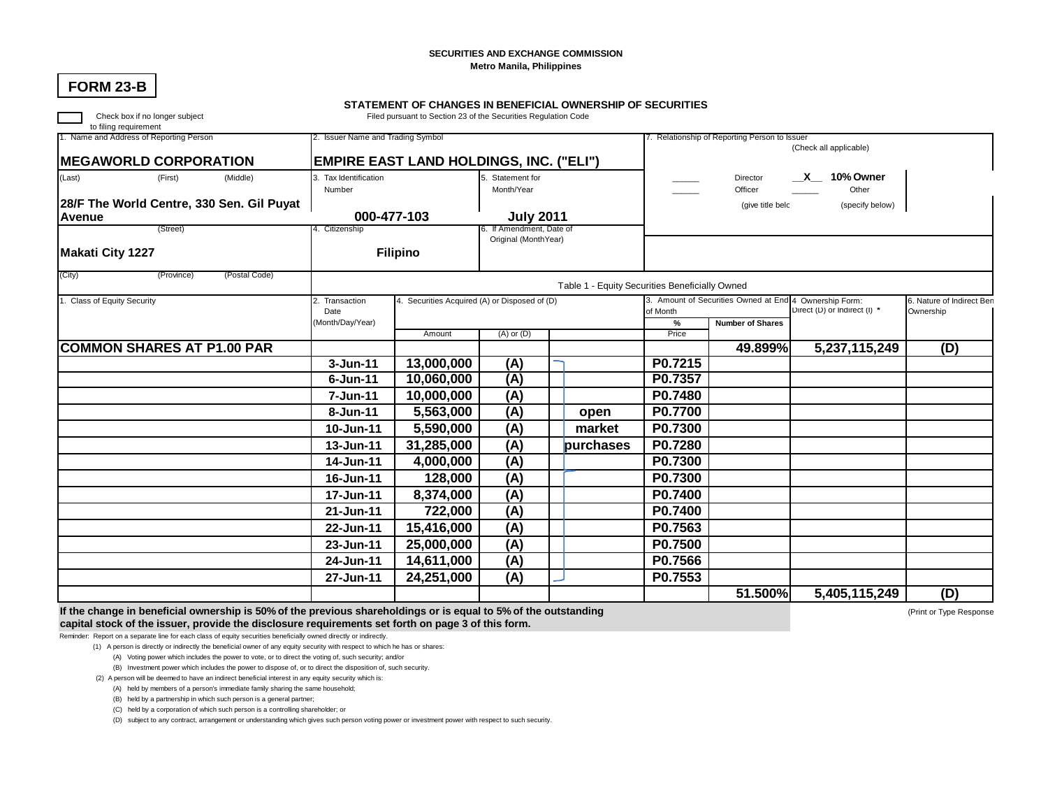### **SECURITIES AND EXCHANGE COMMISSIONMetro Manila, Philippines**

# **FORM 23-B**

### **STATEMENT OF CHANGES IN BENEFICIAL OWNERSHIP OF SECURITIES**

Check box if no longer subject Filed pursuant to Section 23 of the Securities Regulation Code

| to filing requirement                     |                                                |                                               |                                                  |           |                                                      |                                                        |                              |                                        |  |  |  |  |
|-------------------------------------------|------------------------------------------------|-----------------------------------------------|--------------------------------------------------|-----------|------------------------------------------------------|--------------------------------------------------------|------------------------------|----------------------------------------|--|--|--|--|
| 1. Name and Address of Reporting Person   | 2. Issuer Name and Trading Symbol              |                                               |                                                  |           | 7. Relationship of Reporting Person to Issuer        |                                                        |                              |                                        |  |  |  |  |
|                                           | <b>EMPIRE EAST LAND HOLDINGS, INC. ("ELI")</b> |                                               |                                                  |           |                                                      | (Check all applicable)                                 |                              |                                        |  |  |  |  |
| <b>MEGAWORLD CORPORATION</b>              |                                                |                                               |                                                  |           |                                                      |                                                        |                              |                                        |  |  |  |  |
| (Last)<br>(First)<br>(Middle)             | Tax Identification<br>Number                   |                                               | Statement for                                    |           |                                                      | Director                                               | $X$ 10% Owner                |                                        |  |  |  |  |
|                                           |                                                |                                               | Month/Year                                       |           |                                                      | Officer                                                | Other                        |                                        |  |  |  |  |
| 28/F The World Centre, 330 Sen. Gil Puyat |                                                |                                               |                                                  |           |                                                      | (give title belo                                       | (specify below)              |                                        |  |  |  |  |
| <b>Avenue</b>                             | 000-477-103                                    |                                               | <b>July 2011</b>                                 |           |                                                      |                                                        |                              |                                        |  |  |  |  |
| (Street)                                  | . Citizenship                                  |                                               | 6. If Amendment, Date of<br>Original (MonthYear) |           |                                                      |                                                        |                              |                                        |  |  |  |  |
| Makati City 1227                          | Filipino                                       |                                               |                                                  |           |                                                      |                                                        |                              |                                        |  |  |  |  |
|                                           |                                                |                                               |                                                  |           |                                                      |                                                        |                              |                                        |  |  |  |  |
| (City)<br>(Province)<br>(Postal Code)     |                                                |                                               |                                                  |           |                                                      |                                                        |                              |                                        |  |  |  |  |
|                                           |                                                |                                               |                                                  |           | Table 1 - Equity Securities Beneficially Owned       |                                                        |                              |                                        |  |  |  |  |
| 1. Class of Equity Security               | Transaction<br>Date                            | 4. Securities Acquired (A) or Disposed of (D) |                                                  |           |                                                      | 3. Amount of Securities Owned at End 4 Ownership Form: | Direct (D) or Indirect (I) * | 6. Nature of Indirect Ben<br>Ownership |  |  |  |  |
|                                           | (Month/Day/Year)                               |                                               |                                                  |           | of Month<br>$\frac{9}{6}$<br><b>Number of Shares</b> |                                                        |                              |                                        |  |  |  |  |
|                                           |                                                | Amount                                        | $(A)$ or $(D)$                                   |           | Price                                                |                                                        |                              |                                        |  |  |  |  |
| <b>COMMON SHARES AT P1.00 PAR</b>         |                                                |                                               |                                                  |           |                                                      | 49.899%                                                | 5,237,115,249                | (D)                                    |  |  |  |  |
|                                           | $3 - Jun-11$                                   | 13,000,000                                    | (A)                                              |           | P0.7215                                              |                                                        |                              |                                        |  |  |  |  |
|                                           | $6 - Jun-11$                                   | 10,060,000                                    | (A)                                              |           | P0.7357                                              |                                                        |                              |                                        |  |  |  |  |
|                                           | 7-Jun-11                                       | 10,000,000                                    | (A)                                              |           | P0.7480                                              |                                                        |                              |                                        |  |  |  |  |
|                                           | 8-Jun-11                                       | 5,563,000                                     | (A)                                              | open      | P0.7700                                              |                                                        |                              |                                        |  |  |  |  |
|                                           | 10-Jun-11                                      | 5,590,000                                     | (A)                                              | market    | P0.7300                                              |                                                        |                              |                                        |  |  |  |  |
|                                           | 13-Jun-11                                      | 31,285,000                                    | (A)                                              | purchases | P0.7280                                              |                                                        |                              |                                        |  |  |  |  |
|                                           | 14-Jun-11                                      | 4,000,000                                     | (A)                                              |           | P0.7300                                              |                                                        |                              |                                        |  |  |  |  |
|                                           | 16-Jun-11                                      | 128,000                                       | (A)                                              |           | P0.7300                                              |                                                        |                              |                                        |  |  |  |  |
|                                           | 17-Jun-11                                      | 8,374,000                                     | (A)                                              |           | P0.7400                                              |                                                        |                              |                                        |  |  |  |  |
|                                           | 21-Jun-11                                      | 722,000                                       | (A)                                              |           | P0.7400                                              |                                                        |                              |                                        |  |  |  |  |
|                                           | 22-Jun-11                                      | 15,416,000                                    | (A)                                              |           | P0.7563                                              |                                                        |                              |                                        |  |  |  |  |
|                                           | 23-Jun-11                                      | 25,000,000                                    | (A)                                              |           | P0.7500                                              |                                                        |                              |                                        |  |  |  |  |
|                                           | 24-Jun-11                                      | 14,611,000                                    | (A)                                              |           | P0.7566                                              |                                                        |                              |                                        |  |  |  |  |
|                                           | 27-Jun-11                                      | 24,251,000                                    | (A)                                              |           | P0.7553                                              |                                                        |                              |                                        |  |  |  |  |
|                                           |                                                |                                               |                                                  |           |                                                      | 51.500%                                                | 5,405,115,249                | (D)                                    |  |  |  |  |

**If the change in beneficial ownership is 50% of the previous shareholdings or is equal to 5% of the outstanding <b>Canadia Computer Computer Computer** (Print or Type Response **capital stock of the issuer, provide the disclosure requirements set forth on page 3 of this form.**

Reminder: Report on a separate line for each class of equity securities beneficially owned directly or indirectly.

(1) A person is directly or indirectly the beneficial owner of any equity security with respect to which he has or shares:

(A) Voting power which includes the power to vote, or to direct the voting of, such security; and/or

(B) Investment power which includes the power to dispose of, or to direct the disposition of, such security.

(2) A person will be deemed to have an indirect beneficial interest in any equity security which is:

(A) held by members of a person's immediate family sharing the same household;

(B) held by a partnership in which such person is a general partner;

(C) held by a corporation of which such person is a controlling shareholder; or

(D) subject to any contract, arrangement or understanding which gives such person voting power or investment power with respect to such security.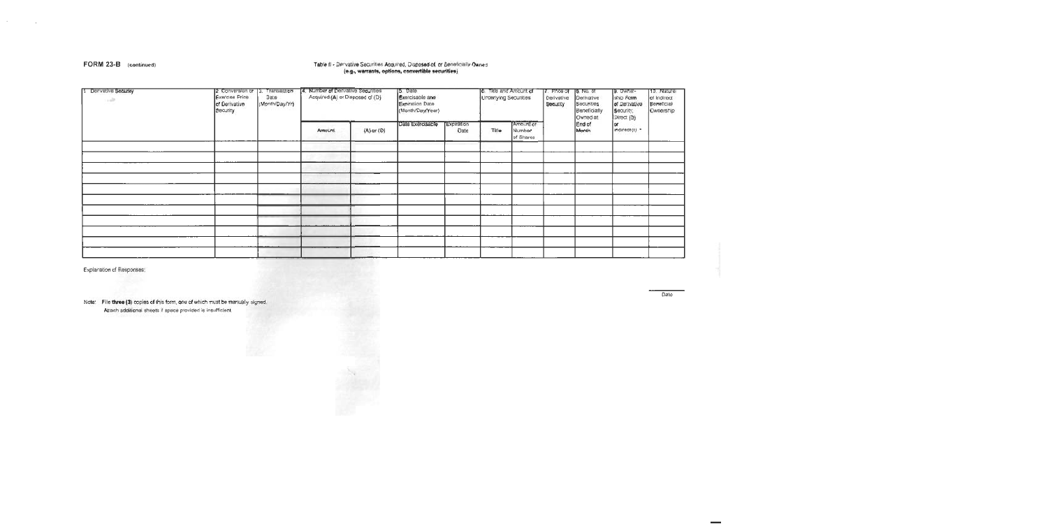### FORM 23-B (continued)

 $\sim 40\%$ 

 $\sim$ 

### Table II - Derivative Securities Acquired, Disposed of, or Beneficially Owned (e.g., warrants, options, convertible securities)

| 1 Derivative Security<br>$\sim$ $\sim$ | 2. Conversion or<br>Exercise Price<br>of Derivative<br>Security | Transaction<br>13.<br>Date<br>(Month/Day/Yr) | 14. Number of Derivative Securities<br>Acquired (A) or Disposed of (D) |                | 15 Date<br>Exercisable and<br>Expiration Date<br>(Month/Day/Year) |                    | 6. Title and Amount of<br>Underlying Securities |                                   | 7. Price of 8. No. of<br>Derivative<br>Security | Derivative<br>Securities<br>Beneficially<br>Owned at | 9. Owner-<br>ship Form<br>of Derivative<br>Security;<br>Direct (D) | 10. Nature<br>of Indirect<br>Beneficial<br>Ownership |
|----------------------------------------|-----------------------------------------------------------------|----------------------------------------------|------------------------------------------------------------------------|----------------|-------------------------------------------------------------------|--------------------|-------------------------------------------------|-----------------------------------|-------------------------------------------------|------------------------------------------------------|--------------------------------------------------------------------|------------------------------------------------------|
|                                        |                                                                 |                                              | Amount.                                                                | $(A)$ or $(D)$ | Date Exercisable                                                  | Expiration<br>Oate | Title                                           | Amount or<br>Number.<br>of Shares |                                                 | End of<br>Month                                      | lor<br>Indirect (i) *                                              |                                                      |
|                                        |                                                                 |                                              |                                                                        |                |                                                                   |                    |                                                 |                                   |                                                 |                                                      |                                                                    |                                                      |
|                                        |                                                                 |                                              |                                                                        |                |                                                                   |                    |                                                 |                                   |                                                 |                                                      |                                                                    |                                                      |
|                                        |                                                                 |                                              |                                                                        |                |                                                                   |                    |                                                 |                                   |                                                 |                                                      |                                                                    |                                                      |
|                                        |                                                                 |                                              |                                                                        |                |                                                                   |                    |                                                 |                                   |                                                 |                                                      |                                                                    |                                                      |
|                                        |                                                                 |                                              |                                                                        |                |                                                                   |                    |                                                 |                                   |                                                 |                                                      |                                                                    |                                                      |
|                                        |                                                                 |                                              |                                                                        |                |                                                                   |                    |                                                 |                                   |                                                 |                                                      |                                                                    |                                                      |
|                                        |                                                                 |                                              |                                                                        |                |                                                                   |                    |                                                 |                                   |                                                 |                                                      |                                                                    |                                                      |
|                                        |                                                                 |                                              |                                                                        |                |                                                                   |                    |                                                 |                                   |                                                 |                                                      |                                                                    |                                                      |
|                                        |                                                                 |                                              |                                                                        |                |                                                                   |                    |                                                 |                                   |                                                 |                                                      |                                                                    |                                                      |
|                                        |                                                                 |                                              |                                                                        |                |                                                                   |                    |                                                 |                                   |                                                 |                                                      |                                                                    |                                                      |
|                                        |                                                                 |                                              |                                                                        |                |                                                                   |                    |                                                 |                                   |                                                 |                                                      |                                                                    |                                                      |

Explanation of Responses:

Note: File three (3) copies of this form, one of which must be manually signed. Attach additional sheets if spece provided is insufficient.

Dato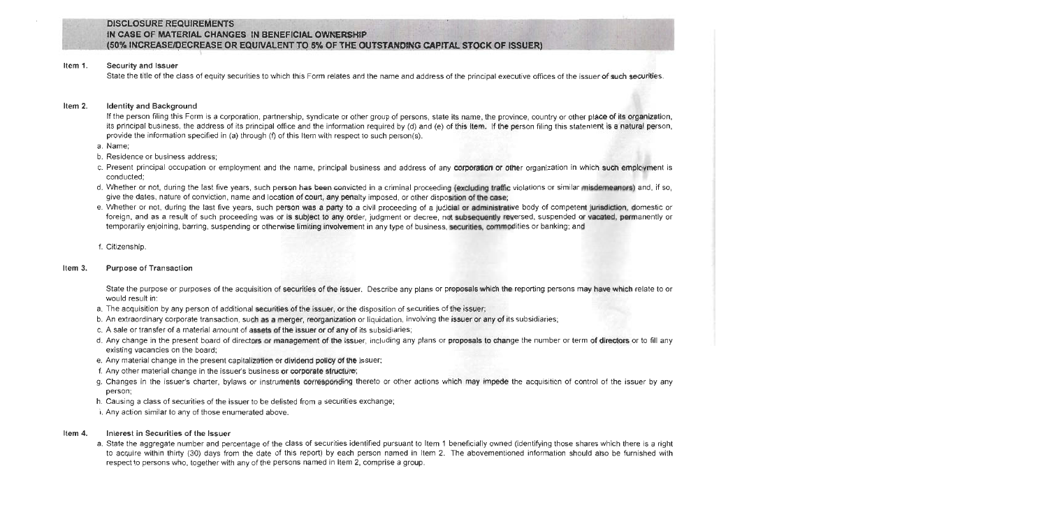## **DISCLOSURE REQUIREMENTS** IN CASE OF MATERIAL CHANGES IN BENEFICIAL OWNERSHIP (50% INCREASE/DECREASE OR EQUIVALENT TO 5% OF THE OUTSTANDING CAPITAL STOCK OF ISSUER)

#### Item 1. Security and Issuer

State the title of the class of equity securities to which this Form relates and the name and address of the principal executive offices of the issuer of such securities.

#### Item 2. Identity and Background

If the person filing this Form is a corporation, partnership, syndicate or other group of persons, state its name, the prevince, country or other place of its organization, its principal business, the address of its principal office and the information required by (d) and (e) of this ltem. If the person filing this statement is a natural person, provide the information specified in (a) through (f) of this Item with respect to such person(s).

- a. Name;
- b. Residence or business address;
- c. Present principal occupation or employment and the name, principal business and address of any corporation or other organization in which such employment is conducted;
- d. Whether or not, during the last five years, such person has been convicted in a criminal proceeding (excluding traffic violations or similar misdemeaners) and, if so, give the dates, nature of conviction, name and location of court, any penalty imposed, or other disposition of the case;
- e. Whether or not, during the last five years, such person was a party to a civil proceeding of a judicial or administrative body of competent jurisdiction, domestic or foreign, and as a result of such proceeding was or is subject to any order, judgment or decree, not subsequently reversed, suspended or vacated, permanently or temporarily enjoining, barring, suspending or otherwise limiting involvement in any type of business, securities, commodities or banking; and
- f. Citizenship.

#### Item 3. **Purpose of Transaction**

State the purpose or purposes of the acquisition of securities of the issuer. Describe any plans or proposals which the reporting persons may have which relate to or would result in:

- a. The acquisition by any person of additional securities of the issuer, or the disposition of securities of the issuer;
- b. An extraordinary corporate transaction, such as a merger, reorganization or liquidation, involving the issuer or any of its subsidiaries;
- c. A sale or transfer of a material amount of assets of the issuer or of any of its subsidiaries;
- d. Any change in the present board of directors or management of the issuer, including any plans or proposals to change the number or term of directors or to fill any existing vacancies on the board;
- e. Any material change in the present capitalization or dividend policy of the issuer;
- f. Any other material change in the issuer's business or corporate structure;
- g. Changes in the issuer's charter, bylaws or instruments corresponding thereto or other actions which may impede the acquisition of control of the issuer by any person;
- h. Causing a class of securities of the issuer to be delisted from a securities exchange;
- i. Any action similar to any of those enumerated above.

#### Interest in Securities of the Issuer Item 4.

a. State the aggregate number and percentage of the class of securities identified pursuant to Item 1 beneficially owned (identifying those shares which there is a right to acquire within thirty (30) days from the date of this report) by each person named in Item 2. The abovementioned information should also be furnished with respect to persons who, together with any of the persons named in Item 2, comprise a group.